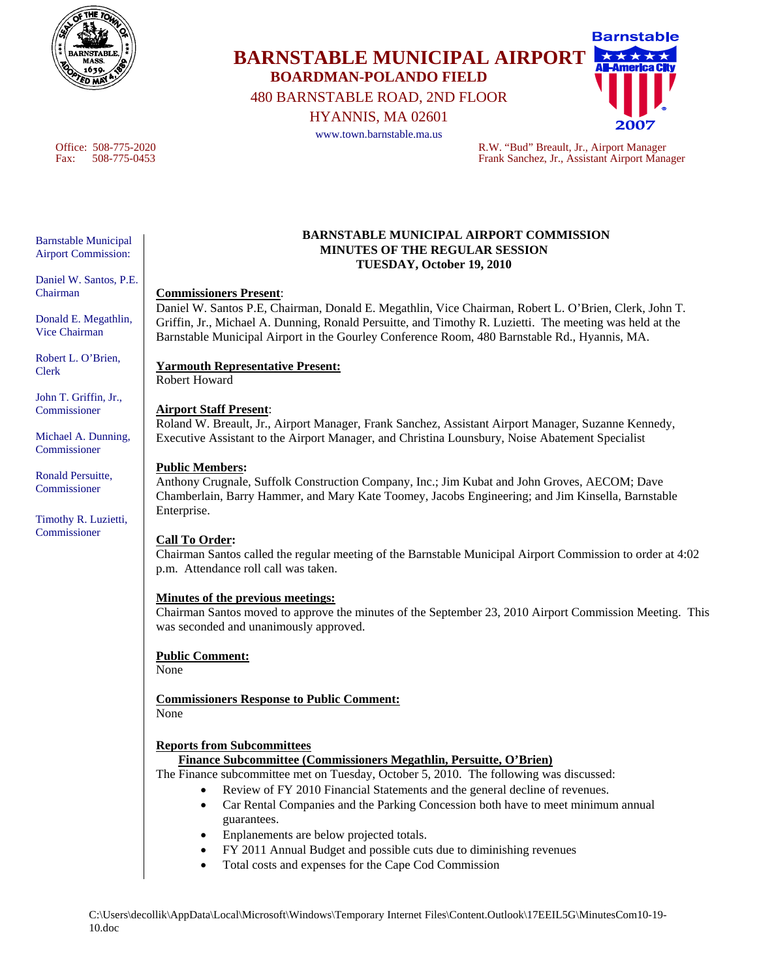

# **Barnstable BARNSTABLE MUNICIPAL AIRPORT BOARDMAN-POLANDO FIELD**  480 BARNSTABLE ROAD, 2ND FLOOR

HYANNIS, MA 02601

www.town.barnstable.ma.us

Office: 508-775-2020 R.W. "Bud" Breault, Jr., Airport Manager<br>Fax: 508-775-0453 Frank Sanchez, Jr., Assistant Airport Man Frank Sanchez, Jr., Assistant Airport Manager

#### Barnstable Municipal Airport Commission:

Daniel W. Santos, P.E. Chairman

Donald E. Megathlin, Vice Chairman

Robert L. O'Brien, Clerk

John T. Griffin, Jr., **Commissioner** 

Michael A. Dunning, Commissioner

Ronald Persuitte, Commissioner

Timothy R. Luzietti, Commissioner

#### **BARNSTABLE MUNICIPAL AIRPORT COMMISSION MINUTES OF THE REGULAR SESSION TUESDAY, October 19, 2010**

### **Commissioners Present**:

Daniel W. Santos P.E, Chairman, Donald E. Megathlin, Vice Chairman, Robert L. O'Brien, Clerk, John T. Griffin, Jr., Michael A. Dunning, Ronald Persuitte, and Timothy R. Luzietti. The meeting was held at the Barnstable Municipal Airport in the Gourley Conference Room, 480 Barnstable Rd., Hyannis, MA.

## **Yarmouth Representative Present:**

Robert Howard

### **Airport Staff Present**:

Roland W. Breault, Jr., Airport Manager, Frank Sanchez, Assistant Airport Manager, Suzanne Kennedy, Executive Assistant to the Airport Manager, and Christina Lounsbury, Noise Abatement Specialist

### **Public Members:**

Anthony Crugnale, Suffolk Construction Company, Inc.; Jim Kubat and John Groves, AECOM; Dave Chamberlain, Barry Hammer, and Mary Kate Toomey, Jacobs Engineering; and Jim Kinsella, Barnstable Enterprise.

### **Call To Order:**

Chairman Santos called the regular meeting of the Barnstable Municipal Airport Commission to order at 4:02 p.m. Attendance roll call was taken.

### **Minutes of the previous meetings:**

Chairman Santos moved to approve the minutes of the September 23, 2010 Airport Commission Meeting. This was seconded and unanimously approved.

### **Public Comment:**

None

**Commissioners Response to Public Comment:** None

### **Reports from Subcommittees**

### **Finance Subcommittee (Commissioners Megathlin, Persuitte, O'Brien)**

The Finance subcommittee met on Tuesday, October 5, 2010. The following was discussed:

- Review of FY 2010 Financial Statements and the general decline of revenues.
- Car Rental Companies and the Parking Concession both have to meet minimum annual guarantees.
- Enplanements are below projected totals.
- FY 2011 Annual Budget and possible cuts due to diminishing revenues
- Total costs and expenses for the Cape Cod Commission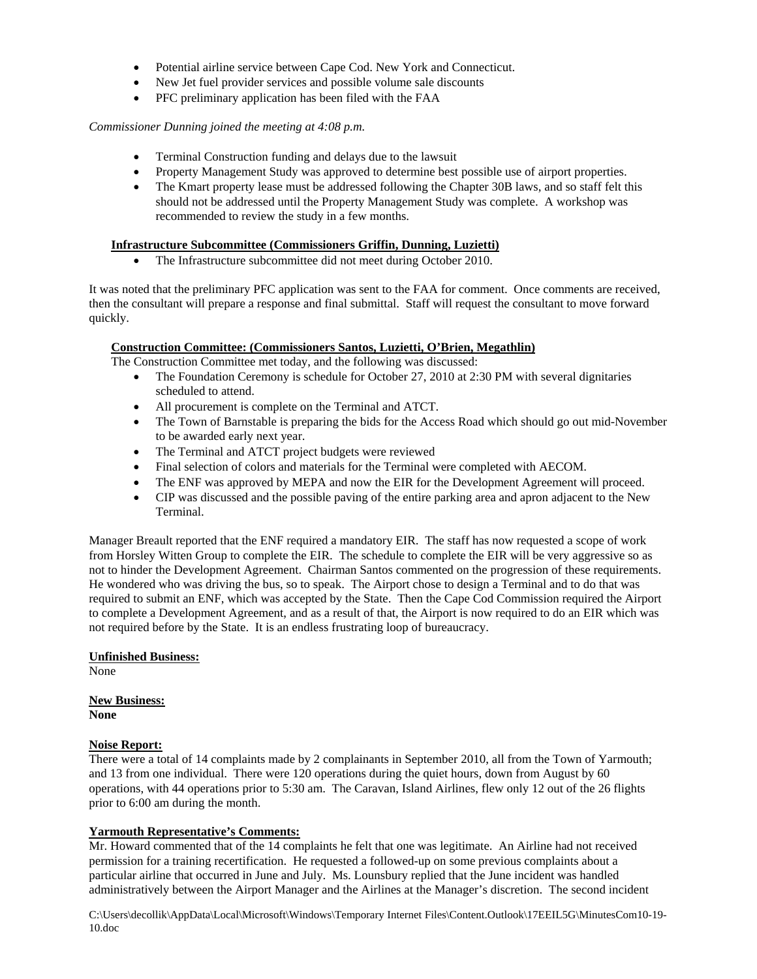- Potential airline service between Cape Cod. New York and Connecticut.
- New Jet fuel provider services and possible volume sale discounts
- PFC preliminary application has been filed with the FAA

#### *Commissioner Dunning joined the meeting at 4:08 p.m.*

- Terminal Construction funding and delays due to the lawsuit
- Property Management Study was approved to determine best possible use of airport properties.
- The Kmart property lease must be addressed following the Chapter 30B laws, and so staff felt this should not be addressed until the Property Management Study was complete. A workshop was recommended to review the study in a few months.

#### **Infrastructure Subcommittee (Commissioners Griffin, Dunning, Luzietti)**

The Infrastructure subcommittee did not meet during October 2010.

It was noted that the preliminary PFC application was sent to the FAA for comment. Once comments are received, then the consultant will prepare a response and final submittal. Staff will request the consultant to move forward quickly.

#### **Construction Committee: (Commissioners Santos, Luzietti, O'Brien, Megathlin)**

The Construction Committee met today, and the following was discussed:

- The Foundation Ceremony is schedule for October 27, 2010 at 2:30 PM with several dignitaries scheduled to attend.
- All procurement is complete on the Terminal and ATCT.
- The Town of Barnstable is preparing the bids for the Access Road which should go out mid-November to be awarded early next year.
- The Terminal and ATCT project budgets were reviewed
- Final selection of colors and materials for the Terminal were completed with AECOM.
- The ENF was approved by MEPA and now the EIR for the Development Agreement will proceed.
- CIP was discussed and the possible paving of the entire parking area and apron adjacent to the New Terminal.

Manager Breault reported that the ENF required a mandatory EIR. The staff has now requested a scope of work from Horsley Witten Group to complete the EIR. The schedule to complete the EIR will be very aggressive so as not to hinder the Development Agreement. Chairman Santos commented on the progression of these requirements. He wondered who was driving the bus, so to speak. The Airport chose to design a Terminal and to do that was required to submit an ENF, which was accepted by the State. Then the Cape Cod Commission required the Airport to complete a Development Agreement, and as a result of that, the Airport is now required to do an EIR which was not required before by the State. It is an endless frustrating loop of bureaucracy.

#### **Unfinished Business:**

None

**New Business: None** 

#### **Noise Report:**

There were a total of 14 complaints made by 2 complainants in September 2010, all from the Town of Yarmouth; and 13 from one individual. There were 120 operations during the quiet hours, down from August by 60 operations, with 44 operations prior to 5:30 am. The Caravan, Island Airlines, flew only 12 out of the 26 flights prior to 6:00 am during the month.

#### **Yarmouth Representative's Comments:**

Mr. Howard commented that of the 14 complaints he felt that one was legitimate. An Airline had not received permission for a training recertification. He requested a followed-up on some previous complaints about a particular airline that occurred in June and July. Ms. Lounsbury replied that the June incident was handled administratively between the Airport Manager and the Airlines at the Manager's discretion. The second incident

C:\Users\decollik\AppData\Local\Microsoft\Windows\Temporary Internet Files\Content.Outlook\17EEIL5G\MinutesCom10-19- 10.doc